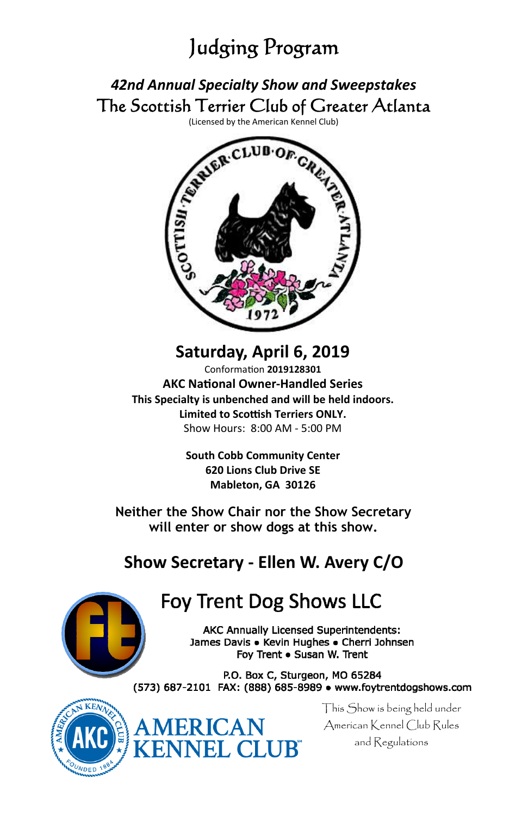# Judging Program

## *42nd Annual Specialty Show and Sweepstakes* The Scottish Terrier Club of Greater Atlanta



**Saturday, April 6, 2019** ConformaƟon **2019128301 AKC NaƟonal Owner‐Handled Series This Specialty is unbenched and will be held indoors. Limited to Scoƫsh Terriers ONLY.** Show Hours: 8:00 AM ‐ 5:00 PM

> **South Cobb Community Center 620 Lions Club Drive SE Mableton, GA 30126**

**Neither the Show Chair nor the Show Secretary will enter or show dogs at this show.** 

## **Show Secretary ‐ Ellen W. Avery C/O**



# **Foy Trent Dog Shows LLC**

AKC Annually Licensed Superintendents: James Davis . Kevin Hughes . Cherri Johnsen Foy Trent . Susan W. Trent

P.O. Box C, Sturgeon, MO 65284 (573) 687-2101 FAX: (888) 685-8989 · www.foytrentdogshows.com





This Show is being held under American Kennel Club Rules and Regulations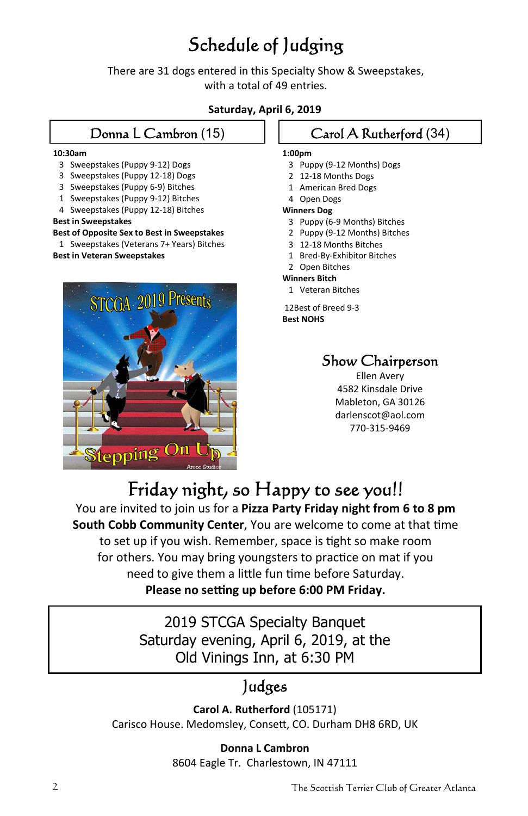# Schedule of Judging

There are 31 dogs entered in this Specialty Show & Sweepstakes, with a total of 49 entries.

### **Saturday, April 6, 2019**

### Donna L Cambron (15)

#### **10:30am**

- 3 Sweepstakes (Puppy 9‐12) Dogs
- 3 Sweepstakes (Puppy 12‐18) Dogs
- 3 Sweepstakes (Puppy 6‐9) Bitches
- 1 Sweepstakes (Puppy 9-12) Bitches
- 4 Sweepstakes (Puppy 12‐18) Bitches

#### **Best in Sweepstakes**

**Best of Opposite Sex to Best in Sweepstakes**

 1 Sweepstakes (Veterans 7+ Years) Bitches **Best in Veteran Sweepstakes**



### Carol A Rutherford (34) **1:00pm**

- 3 Puppy (9-12 Months) Dogs
- 2 12-18 Months Dogs
- 1 American Bred Dogs
- 4 Open Dogs

#### **Winners Dog**

- 3 Puppy (6‐9 Months) Bitches
- 2 Puppy (9-12 Months) Bitches
- 3 12‐18 Months Bitches
- 1 Bred-By-Exhibitor Bitches
- 2 Open Bitches

#### **Winners Bitch**

1 Veteran Bitches

12Best of Breed 9‐3 **Best NOHS**

## Show Chairperson

Ellen Avery 4582 Kinsdale Drive Mableton, GA 30126 darlenscot@aol.com 770‐315‐9469

# Friday night, so Happy to see you!!

You are invited to join us for a **Pizza Party Friday night from 6 to 8 pm South Cobb Community Center**, You are welcome to come at that time to set up if you wish. Remember, space is tight so make room for others. You may bring youngsters to practice on mat if you need to give them a little fun time before Saturday. **Please no seƫng up before 6:00 PM Friday.**

> 2019 STCGA Specialty Banquet Saturday evening, April 6, 2019, at the Old Vinings Inn, at 6:30 PM

# Judges

**Carol A. Rutherford** (105171) Carisco House. Medomsley, Consett, CO. Durham DH8 6RD, UK

# **Donna L Cambron**

8604 Eagle Tr. Charlestown, IN 47111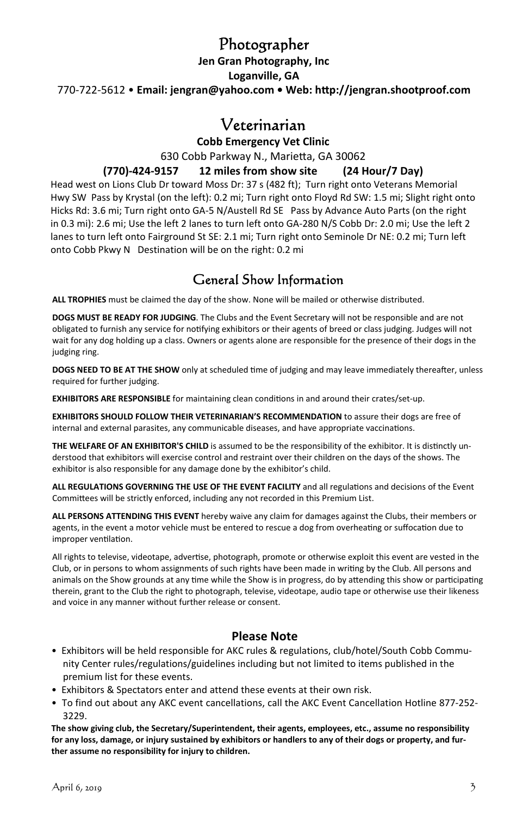## Photographer

**Jen Gran Photography, Inc Loganville, GA** 770‐722‐5612 • **Email: jengran@yahoo.com • Web: hƩp://jengran.shootproof.com**

## Veterinarian

**Cobb Emergency Vet Clinic**

630 Cobb Parkway N., MarieƩa, GA 30062

### **(770)‐424‐9157 12 miles from show site (24 Hour/7 Day)**

Head west on Lions Club Dr toward Moss Dr: 37 s (482 ft); Turn right onto Veterans Memorial Hwy SW Pass by Krystal (on the left): 0.2 mi; Turn right onto Floyd Rd SW: 1.5 mi; Slight right onto Hicks Rd: 3.6 mi; Turn right onto GA‐5 N/Austell Rd SE Pass by Advance Auto Parts (on the right in 0.3 mi): 2.6 mi; Use the left 2 lanes to turn left onto GA‐280 N/S Cobb Dr: 2.0 mi; Use the left 2 lanes to turn left onto Fairground St SE: 2.1 mi; Turn right onto Seminole Dr NE: 0.2 mi; Turn left onto Cobb Pkwy N Destination will be on the right: 0.2 mi

### General Show Information

**ALL TROPHIES** must be claimed the day of the show. None will be mailed or otherwise distributed.

**DOGS MUST BE READY FOR JUDGING**. The Clubs and the Event Secretary will not be responsible and are not obligated to furnish any service for notifying exhibitors or their agents of breed or class judging. Judges will not wait for any dog holding up a class. Owners or agents alone are responsible for the presence of their dogs in the judging ring.

**DOGS** NEED TO BE AT THE SHOW only at scheduled time of judging and may leave immediately thereafter, unless required for further judging.

**EXHIBITORS ARE RESPONSIBLE** for maintaining clean conditions in and around their crates/set-up.

**EXHIBITORS SHOULD FOLLOW THEIR VETERINARIAN'S RECOMMENDATION** to assure their dogs are free of internal and external parasites, any communicable diseases, and have appropriate vaccinations.

**THE WELFARE OF AN EXHIBITOR'S CHILD** is assumed to be the responsibility of the exhibitor. It is distinctly understood that exhibitors will exercise control and restraint over their children on the days of the shows. The exhibitor is also responsible for any damage done by the exhibitor's child.

**ALL REGULATIONS GOVERNING THE USE OF THE EVENT FACILITY** and all regulaƟons and decisions of the Event Committees will be strictly enforced, including any not recorded in this Premium List.

**ALL PERSONS ATTENDING THIS EVENT** hereby waive any claim for damages against the Clubs, their members or agents, in the event a motor vehicle must be entered to rescue a dog from overheating or suffocation due to improper ventilation.

All rights to televise, videotape, advertise, photograph, promote or otherwise exploit this event are vested in the Club, or in persons to whom assignments of such rights have been made in writing by the Club. All persons and animals on the Show grounds at any time while the Show is in progress, do by attending this show or participating therein, grant to the Club the right to photograph, televise, videotape, audio tape or otherwise use their likeness and voice in any manner without further release or consent.

### **Please Note**

- Exhibitors will be held responsible for AKC rules & regulations, club/hotel/South Cobb Commu‐ nity Center rules/regulations/guidelines including but not limited to items published in the premium list for these events.
- Exhibitors & Spectators enter and attend these events at their own risk.
- To find out about any AKC event cancellations, call the AKC Event Cancellation Hotline 877‐252‐ 3229.

**The show giving club, the Secretary/Superintendent, their agents, employees, etc., assume no responsibility** for any loss, damage, or injury sustained by exhibitors or handlers to any of their dogs or property, and fur**ther assume no responsibility for injury to children.**